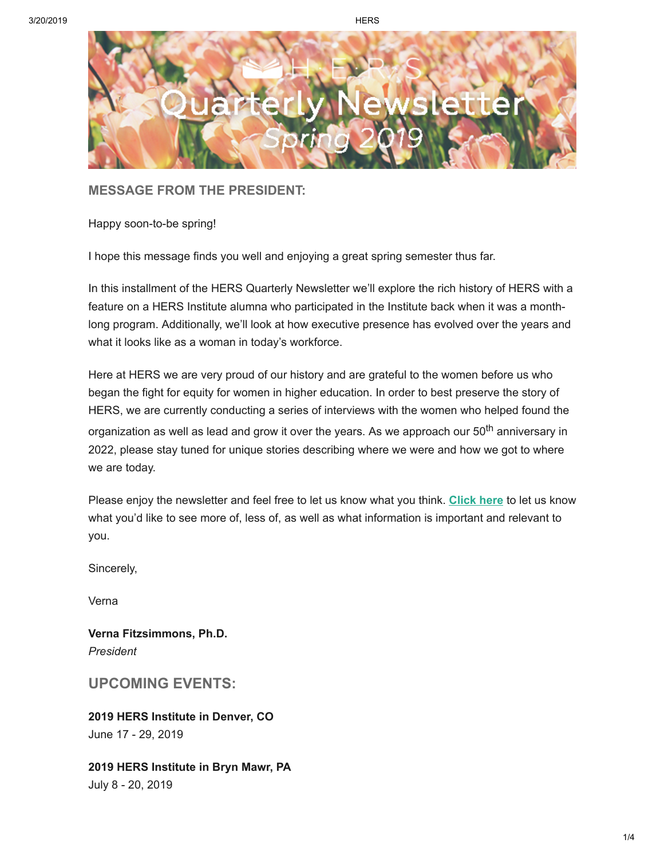

**MESSAGE FROM THE PRESIDENT:**

Happy soon-to-be spring!

I hope this message finds you well and enjoying a great spring semester thus far.

In this installment of the HERS Quarterly Newsletter we'll explore the rich history of HERS with a feature on a HERS Institute alumna who participated in the Institute back when it was a monthlong program. Additionally, we'll look at how executive presence has evolved over the years and what it looks like as a woman in today's workforce.

Here at HERS we are very proud of our history and are grateful to the women before us who began the fight for equity for women in higher education. In order to best preserve the story of HERS, we are currently conducting a series of interviews with the women who helped found the organization as well as lead and grow it over the years. As we approach our 50<sup>th</sup> anniversary in 2022, please stay tuned for unique stories describing where we were and how we got to where we are today.

Please enjoy the newsletter and feel free to let us know what you think. **[Click here](https://suite.targetx.com/suite4sf/email/bin/redir.php?id=24188955-0033600000QKioVAAT&link=https%3A//www.hersnetwork.org/contact/)** to let us know what you'd like to see more of, less of, as well as what information is important and relevant to you.

Sincerely,

Verna

**Verna Fitzsimmons, Ph.D.** *President* 

**UPCOMING EVENTS:**

**2019 HERS Institute in Denver, CO** June 17 - 29, 2019

**2019 HERS Institute in Bryn Mawr, PA** July 8 - 20, 2019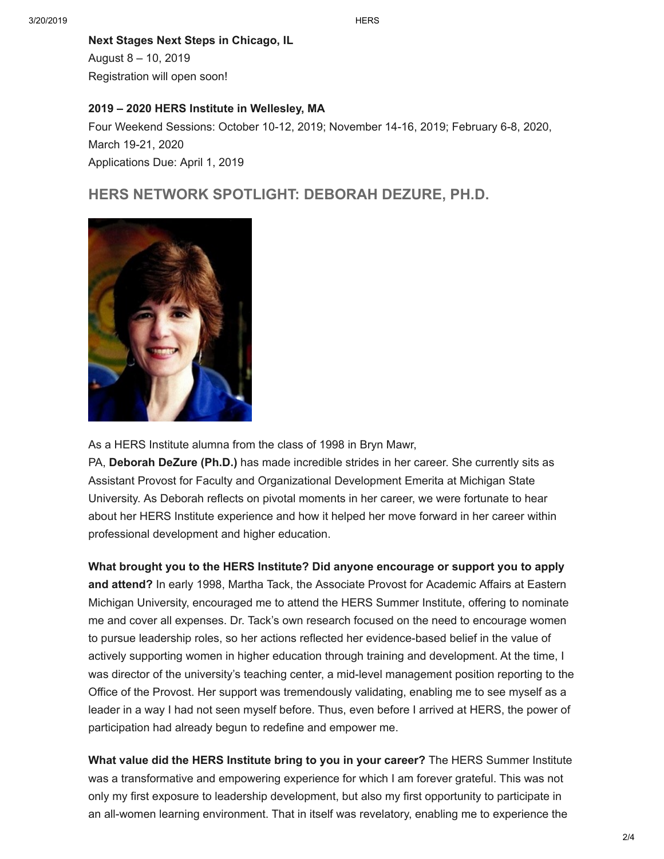#### **Next Stages Next Steps in Chicago, IL**

August 8 – 10, 2019 Registration will open soon!

#### **2019 – 2020 HERS Institute in Wellesley, MA**

Four Weekend Sessions: October 10-12, 2019; November 14-16, 2019; February 6-8, 2020, March 19-21, 2020 Applications Due: April 1, 2019

# **HERS NETWORK SPOTLIGHT: DEBORAH DEZURE, PH.D.**



As a HERS Institute alumna from the class of 1998 in Bryn Mawr,

PA, **Deborah DeZure (Ph.D.)** has made incredible strides in her career. She currently sits as Assistant Provost for Faculty and Organizational Development Emerita at Michigan State University. As Deborah reflects on pivotal moments in her career, we were fortunate to hear about her HERS Institute experience and how it helped her move forward in her career within professional development and higher education.

**What brought you to the HERS Institute? Did anyone encourage or support you to apply and attend?** In early 1998, Martha Tack, the Associate Provost for Academic Affairs at Eastern Michigan University, encouraged me to attend the HERS Summer Institute, offering to nominate me and cover all expenses. Dr. Tack's own research focused on the need to encourage women to pursue leadership roles, so her actions reflected her evidence-based belief in the value of actively supporting women in higher education through training and development. At the time, I was director of the university's teaching center, a mid-level management position reporting to the Office of the Provost. Her support was tremendously validating, enabling me to see myself as a leader in a way I had not seen myself before. Thus, even before I arrived at HERS, the power of participation had already begun to redefine and empower me.

**What value did the HERS Institute bring to you in your career?** The HERS Summer Institute was a transformative and empowering experience for which I am forever grateful. This was not only my first exposure to leadership development, but also my first opportunity to participate in an all-women learning environment. That in itself was revelatory, enabling me to experience the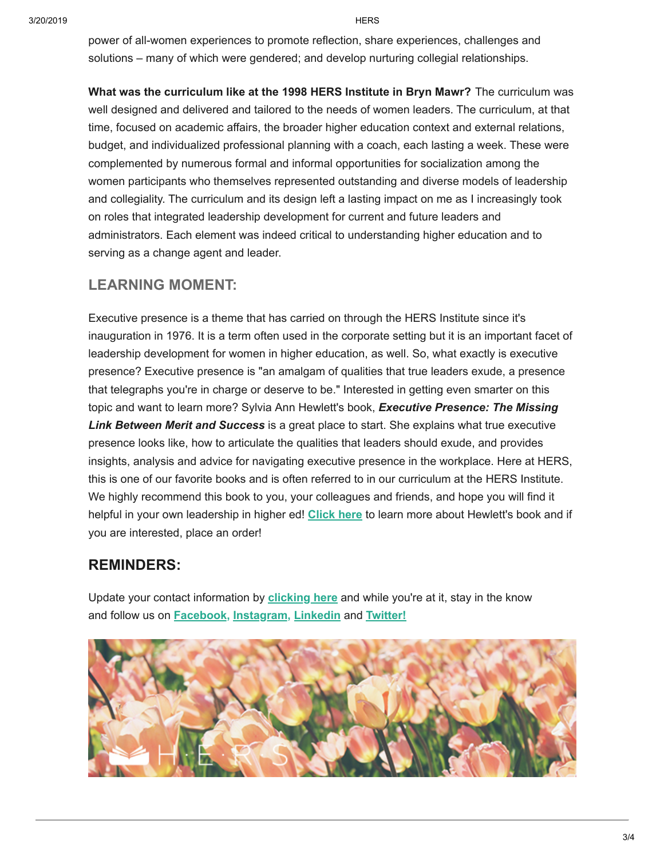power of all-women experiences to promote reflection, share experiences, challenges and solutions – many of which were gendered; and develop nurturing collegial relationships.

**What was the curriculum like at the 1998 HERS Institute in Bryn Mawr?** The curriculum was well designed and delivered and tailored to the needs of women leaders. The curriculum, at that time, focused on academic affairs, the broader higher education context and external relations, budget, and individualized professional planning with a coach, each lasting a week. These were complemented by numerous formal and informal opportunities for socialization among the women participants who themselves represented outstanding and diverse models of leadership and collegiality. The curriculum and its design left a lasting impact on me as I increasingly took on roles that integrated leadership development for current and future leaders and administrators. Each element was indeed critical to understanding higher education and to serving as a change agent and leader.

# **LEARNING MOMENT:**

Executive presence is a theme that has carried on through the HERS Institute since it's inauguration in 1976. It is a term often used in the corporate setting but it is an important facet of leadership development for women in higher education, as well. So, what exactly is executive presence? Executive presence is "an amalgam of qualities that true leaders exude, a presence that telegraphs you're in charge or deserve to be." Interested in getting even smarter on this topic and want to learn more? Sylvia Ann Hewlett's book, *Executive Presence: The Missing Link Between Merit and Success* is a great place to start. She explains what true executive presence looks like, how to articulate the qualities that leaders should exude, and provides insights, analysis and advice for navigating executive presence in the workplace. Here at HERS, this is one of our favorite books and is often referred to in our curriculum at the HERS Institute. We highly recommend this book to you, your colleagues and friends, and hope you will find it helpful in your own leadership in higher ed! **[Click here](https://suite.targetx.com/suite4sf/email/bin/redir.php?id=24188957-0033600000QKioVAAT&link=https%3A//www.amazon.com/Executive-Presence-Missing-Between-Success/dp/0062246895)** to learn more about Hewlett's book and if you are interested, place an order!

### **REMINDERS:**

Update your contact information by **[clicking here](https://suite.targetx.com/suite4sf/email/bin/redir.php?id=24188956-0033600000QKioVAAT&link=https%3A//hers.tfaforms.net/217764)** and while you're at it, stay in the know and follow us on **[Facebook,](https://suite.targetx.com/suite4sf/email/bin/redir.php?id=24188953-0033600000QKioVAAT&link=https%3A//www.facebook.com/HERSNetwork/) [Instagram,](https://suite.targetx.com/suite4sf/email/bin/redir.php?id=24188959-0033600000QKioVAAT&link=https%3A//www.instagram.com/hersnetwork/) [Linkedin](https://suite.targetx.com/suite4sf/email/bin/redir.php?id=24188954-0033600000QKioVAAT&link=https%3A//www.linkedin.com/company/higher-education-resource-services-hers-/)** and **[Twitter!](https://suite.targetx.com/suite4sf/email/bin/redir.php?id=24188958-0033600000QKioVAAT&link=https%3A//twitter.com/HERSNetwork)**